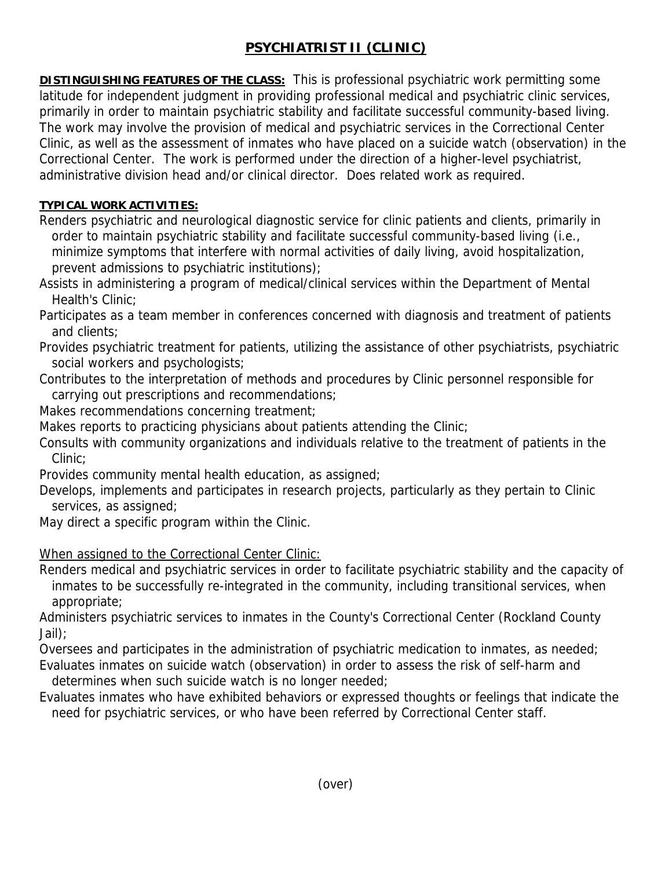# **PSYCHIATRIST II (CLINIC)**

**DISTINGUISHING FEATURES OF THE CLASS:** This is professional psychiatric work permitting some latitude for independent judgment in providing professional medical and psychiatric clinic services, primarily in order to maintain psychiatric stability and facilitate successful community-based living. The work may involve the provision of medical and psychiatric services in the Correctional Center Clinic, as well as the assessment of inmates who have placed on a suicide watch (observation) in the Correctional Center. The work is performed under the direction of a higher-level psychiatrist, administrative division head and/or clinical director. Does related work as required.

### **TYPICAL WORK ACTIVITIES:**

Renders psychiatric and neurological diagnostic service for clinic patients and clients, primarily in order to maintain psychiatric stability and facilitate successful community-based living (i.e., minimize symptoms that interfere with normal activities of daily living, avoid hospitalization, prevent admissions to psychiatric institutions);

Assists in administering a program of medical/clinical services within the Department of Mental Health's Clinic;

Participates as a team member in conferences concerned with diagnosis and treatment of patients and clients;

- Provides psychiatric treatment for patients, utilizing the assistance of other psychiatrists, psychiatric social workers and psychologists;
- Contributes to the interpretation of methods and procedures by Clinic personnel responsible for carrying out prescriptions and recommendations;
- Makes recommendations concerning treatment;
- Makes reports to practicing physicians about patients attending the Clinic;
- Consults with community organizations and individuals relative to the treatment of patients in the Clinic;

Provides community mental health education, as assigned;

Develops, implements and participates in research projects, particularly as they pertain to Clinic services, as assigned;

May direct a specific program within the Clinic.

## When assigned to the Correctional Center Clinic:

Renders medical and psychiatric services in order to facilitate psychiatric stability and the capacity of inmates to be successfully re-integrated in the community, including transitional services, when appropriate;

Administers psychiatric services to inmates in the County's Correctional Center (Rockland County Jail);

Oversees and participates in the administration of psychiatric medication to inmates, as needed; Evaluates inmates on suicide watch (observation) in order to assess the risk of self-harm and determines when such suicide watch is no longer needed;

Evaluates inmates who have exhibited behaviors or expressed thoughts or feelings that indicate the need for psychiatric services, or who have been referred by Correctional Center staff.